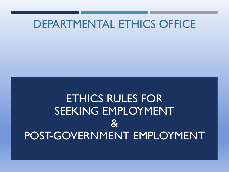## DEPARTMENTAL ETHICS OFFICE

## ETHICS RULES FOR SEEKING EMPLOYMENT  $\mathbf{g}$ POST-GOVERNMENT EMPLOYMENT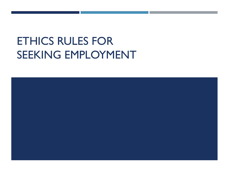## ETHICS RULES FOR SEEKING EMPLOYMENT

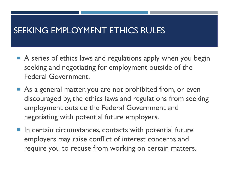## SEEKING EMPLOYMENT ETHICS RULES

- A series of ethics laws and regulations apply when you begin seeking and negotiating for employment outside of the Federal Government.
- As a general matter, you are not prohibited from, or even discouraged by, the ethics laws and regulations from seeking employment outside the Federal Government and negotiating with potential future employers.
- **IF In certain circumstances, contacts with potential future** employers may raise conflict of interest concerns and require you to recuse from working on certain matters.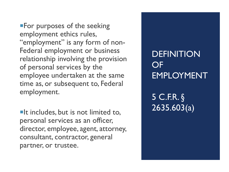**For purposes of the seeking** employment ethics rules, "employment" is any form of non-Federal employment or business relationship involving the provision of personal services by the employee undertaken at the same time as, or subsequent to, Federal employment.

 $\blacksquare$ It includes, but is not limited to, personal services as an officer, director, employee, agent, attorney, consultant, contractor, general partner, or trustee.

## **DEFINITION** OF EMPLOYMENT

5 C.F.R. § 2635.603(a)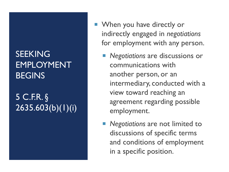## **SEEKING** EMPLOYMENT **BEGINS**

## 5 C.F.R. § 2635.603(b)(1)(i)

- **Now You have directly or** indirectly engaged in *negotiations* for employment with any person.
	- *Negotiations* are discussions or communications with another person, or an intermediary, conducted with a view toward reaching an agreement regarding possible employment.
	- **Negotiations** are not limited to discussions of specific terms and conditions of employment in a specific position.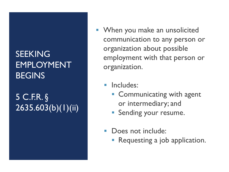## SEEKING EMPLOYMENT **BEGINS**

## 5 C.F.R. § 2635.603(b)(1)(ii)

- **Notal Millen** you make an unsolicited communication to any person or organization about possible employment with that person or organization.
	- **Includes:** 
		- **Communicating with agent** or intermediary; and
		- **Sending your resume.**
	- **Does not include:** 
		- Requesting a job application.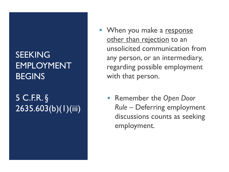## SEEKING EMPLOYMENT **BEGINS**

## 5 C.F.R. § 2635.603(b)(1)(iii)

- When you make a response other than rejection to an unsolicited communication from any person, or an intermediary, regarding possible employment with that person.
	- Remember the *Open Door Rule* – Deferring employment discussions counts as seeking employment.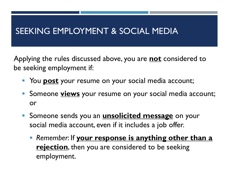## SEEKING EMPLOYMENT & SOCIAL MEDIA

Applying the rules discussed above, you are **not** considered to be seeking employment if:

- **The Post of Audie Your resume on your social media account;**
- **Someone views** your resume on your social media account; or
- **Someone sends you an unsolicited message** on your social media account, even if it includes a job offer.
	- **Remember: If your response is anything other than a rejection**, then you are considered to be seeking employment.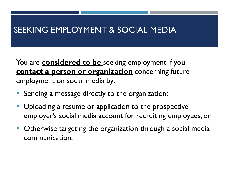## SEEKING EMPLOYMENT & SOCIAL MEDIA

You are **considered to be** seeking employment if you **contact a person or organization** concerning future employment on social media by:

- Sending a message directly to the organization;
- **Uploading a resume or application to the prospective** employer's social media account for recruiting employees; or
- **Otherwise targeting the organization through a social media** communication.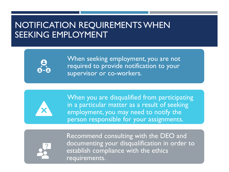## NOTIFICATION REQUIREMENTS WHEN SEEKING EMPLOYMENT



When seeking employment, you are not required to provide notification to your supervisor or co-workers.



When you are disqualified from participating in a particular matter as a result of seeking employment, you may need to notify the person responsible for your assignments.



Recommend consulting with the DEO and documenting your disqualification in order to establish compliance with the ethics requirements.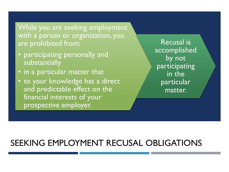While you are seeking employment with a person or organization, you are prohibited from:

- participating personally and substantially
- in a particular matter that
- to your knowledge has a direct and predictable effect on the financial interests of your prospective employer.

Recusal is accomplished by not participating in the particular matter.

## SEEKING EMPLOYMENT RECUSAL OBLIGATIONS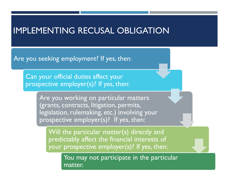## IMPLEMENTING RECUSAL OBLIGATION

Are you seeking employment? If yes, then:

Can your official duties affect your prospective employer(s)? If yes, then:

> Are you working on particular matters (grants, contracts, litigation, permits, legislation, rulemaking, etc.) involving your prospective employer(s)? If yes, then:

Will the particular matter(s) directly and predictably affect the financial interests of your prospective employer(s)? If yes, then:

> You may not participate in the particular matter.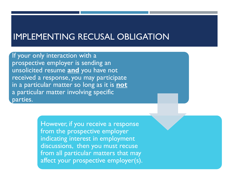### IMPLEMENTING RECUSAL OBLIGATION

If your only interaction with a prospective employer is sending an unsolicited resume **and** you have not received a response, you may participate in a particular matter so long as it is **not** a particular matter involving specific parties.

> However, if you receive a response from the prospective employer indicating interest in employment discussions, then you must recuse from all particular matters that may affect your prospective employer(s).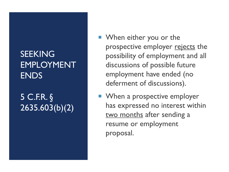## SEEKING EMPLOYMENT ENDS

## 5 C.F.R. § 2635.603(b)(2)

- **Now When either you or the** prospective employer rejects the possibility of employment and all discussions of possible future employment have ended (no deferment of discussions).
- **Now My Augment** When a prospective employer has expressed no interest within two months after sending a resume or employment proposal.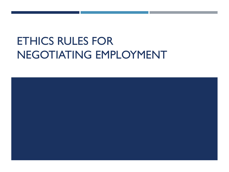## ETHICS RULES FOR NEGOTIATING EMPLOYMENT

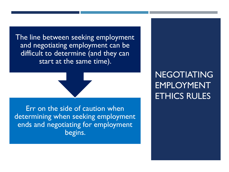The line between seeking employment and negotiating employment can be difficult to determine (and they can start at the same time).

Err on the side of caution when determining when seeking employment ends and negotiating for employment begins.

NEGOTIATING EMPLOYMENT ETHICS RULES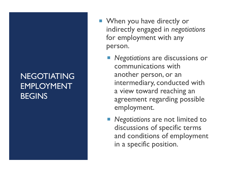## NEGOTIATING EMPLOYMENT **BEGINS**

- When you have directly or indirectly engaged in *negotiations* for employment with any person.
	- *Negotiations* are discussions or communications with another person, or an intermediary, conducted with a view toward reaching an agreement regarding possible employment.
	- **Negotiations** are not limited to discussions of specific terms and conditions of employment in a specific position.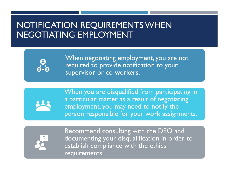## NOTIFICATION REQUIREMENTS WHEN NEGOTIATING EMPLOYMENT



When negotiating employment, you are not required to provide notification to your supervisor or co-workers.



When you are disqualified from participating in a particular matter as a result of negotiating employment, you may need to notify the person responsible for your work assignments.



Recommend consulting with the DEO and documenting your disqualification in order to establish compliance with the ethics requirements.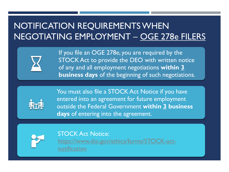## NOTIFICATION REQUIREMENTS WHEN NEGOTIATING EMPLOYMENT – OGE 278e FILERS



If you file an OGE 278e, you are required by the STOCK Act to provide the DEO with written notice of any and all employment negotiations **within 3 business days** of the beginning of such negotiations.



You must also file a STOCK Act Notice if you have entered into an agreement for future employment outside the Federal Government **within 3 business days** of entering into the agreement.



STOCK Act Notice: [https://www.doi.gov/ethics/forms/STOCK-act](https://www.doi.gov/ethics/forms/STOCK-act-notification)notification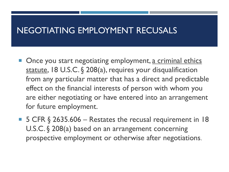### NEGOTIATING EMPLOYMENT RECUSALS

- Once you start negotiating employment, a criminal ethics statute, 18 U.S.C. § 208(a), requires your disqualification from any particular matter that has a direct and predictable effect on the financial interests of person with whom you are either negotiating or have entered into an arrangement for future employment.
- 5 CFR § 2635.606 Restates the recusal requirement in 18 U.S.C. § 208(a) based on an arrangement concerning prospective employment or otherwise after negotiations.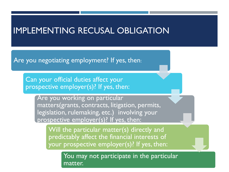### IMPLEMENTING RECUSAL OBLIGATION

Are you negotiating employment? If yes, then:

Can your official duties affect your prospective employer(s)? If yes, then:

> Are you working on particular matters(grants, contracts, litigation, permits, legislation, rulemaking, etc.) involving your prospective employer(s)? If yes, then:

Will the particular matter(s) directly and predictably affect the financial interests of your prospective employer(s)? If yes, then:

> You may not participate in the particular matter.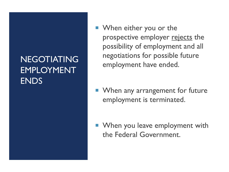## NEGOTIATING EMPLOYMENT ENDS

- **Now When either you or the** prospective employer rejects the possibility of employment and all negotiations for possible future employment have ended.
- **Now When any arrangement for future** employment is terminated.
- **Now You leave employment with** the Federal Government.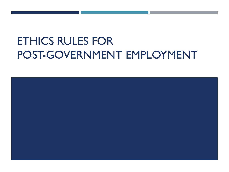## ETHICS RULES FOR POST-GOVERNMENT EMPLOYMENT

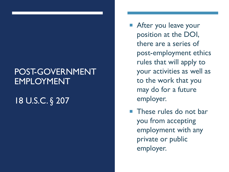## POST-GOVERNMENT EMPLOYMENT

## 18 U.S.C. § 207

- After you leave your position at the DOI, there are a series of post-employment ethics rules that will apply to your activities as well as to the work that you may do for a future employer.
- **These rules do not bar** you from accepting employment with any private or public employer.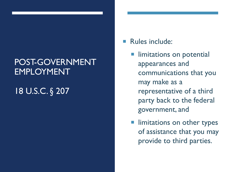## POST-GOVERNMENT EMPLOYMENT

## 18 U.S.C. § 207

#### Rules include:

- limitations on potential appearances and communications that you may make as a representative of a third party back to the federal government, and
- **IF limitations on other types** of assistance that you may provide to third parties.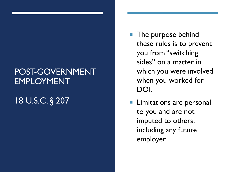## POST-GOVERNMENT EMPLOYMENT

## 18 U.S.C. § 207

- The purpose behind these rules is to prevent you from "switching sides" on a matter in which you were involved when you worked for DOI.
- Limitations are personal to you and are not imputed to others, including any future employer.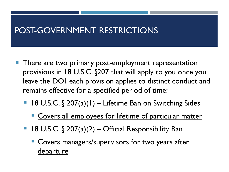## POST-GOVERNMENT RESTRICTIONS

- **There are two primary post-employment representation** provisions in 18 U.S.C. §207 that will apply to you once you leave the DOI, each provision applies to distinct conduct and remains effective for a specified period of time:
	- 18 U.S.C. § 207(a)(1) Lifetime Ban on Switching Sides
		- Covers all employees for lifetime of particular matter
	- 18 U.S.C. § 207(a)(2) Official Responsibility Ban
		- Covers managers/supervisors for two years after departure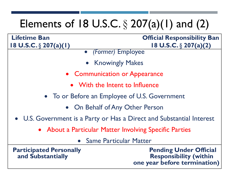# Elements of 18 U.S.C.  $\S 207(a)(1)$  and  $(2)$

#### **Lifetime Ban Official Responsibility Ban 18 U.S.C.** § **207(a)(1) 18 U.S.C.** § **207(a)(2)**

- *(Former)* Employee
- Knowingly Makes
- Communication or Appearance
	- With the Intent to Influence
- To or Before an Employee of U.S. Government
	- On Behalf of Any Other Person
- U.S. Government is a Party or Has a Direct and Substantial Interest
	- About a Particular Matter Involving Specific Parties
		- Same Particular Matter

**Participated Personally Constructed** Pending Under Official **and Substantially Responsibility (within one year before termination)**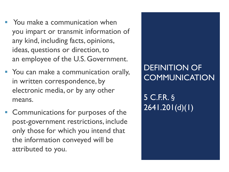- **Theorem 2018** You make a communication when you impart or transmit information of any kind, including facts, opinions, ideas, questions or direction, to an employee of the U.S. Government.
- You can make a communication orally, in written correspondence, by electronic media, or by any other means.
- Communications for purposes of the post-government restrictions, include only those for which you intend that the information conveyed will be attributed to you.

## DEFINITION OF **COMMUNICATION**

5 C.F.R. § 2641.201(d)(1)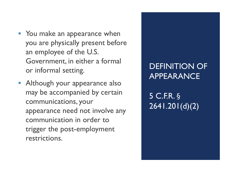- **You make an appearance when** you are physically present before an employee of the U.S. Government, in either a formal or informal setting.
- **Although your appearance also** may be accompanied by certain communications, your appearance need not involve any communication in order to trigger the post-employment restrictions.

## DEFINITION OF APPEARANCE

5 C.F.R. § 2641.201(d)(2)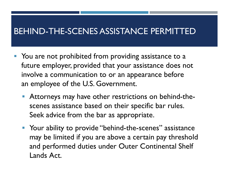## BEHIND-THE-SCENES ASSISTANCE PERMITTED

- You are not prohibited from providing assistance to a future employer, provided that your assistance does not involve a communication to or an appearance before an employee of the U.S. Government.
	- Attorneys may have other restrictions on behind-thescenes assistance based on their specific bar rules. Seek advice from the bar as appropriate.
	- **Part Your ability to provide "behind-the-scenes" assistance** may be limited if you are above a certain pay threshold and performed duties under Outer Continental Shelf Lands Act.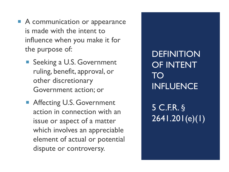- A communication or appearance is made with the intent to influence when you make it for the purpose of:
	- Seeking a U.S. Government ruling, benefit, approval, or other discretionary Government action; or
	- Affecting U.S. Government action in connection with an issue or aspect of a matter which involves an appreciable element of actual or potential dispute or controversy.

**DEFINITION** OF INTENT TO INFLUENCE

5 C.F.R. § 2641.201(e)(1)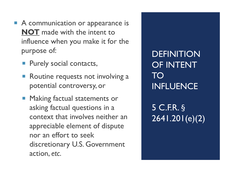- A communication or appearance is **NOT** made with the intent to influence when you make it for the purpose of:
	- **Purely social contacts,**
	- Routine requests not involving a potential controversy, or
	- **Making factual statements or** asking factual questions in a context that involves neither an appreciable element of dispute nor an effort to seek discretionary U.S. Government action, *etc*.

**DEFINITION** OF INTENT TO INFLUENCE

5 C.F.R. § 2641.201(e)(2)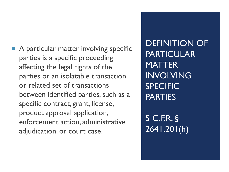A particular matter involving specific parties is a specific proceeding affecting the legal rights of the parties or an isolatable transaction or related set of transactions between identified parties, such as a specific contract, grant, license, product approval application, enforcement action, administrative adjudication, or court case.

DEFINITION OF PARTICULAR **MATTER** INVOLVING SPECIFIC PARTIES

5 C.F.R. § 2641.201(h)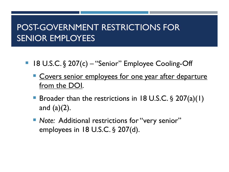## POST-GOVERNMENT RESTRICTIONS FOR SENIOR EMPLOYEES

- 18 U.S.C. § 207(c) "Senior" Employee Cooling-Off
	- Covers senior employees for one year after departure from the DOI.
	- Broader than the restrictions in 18 U.S.C. § 207(a)(1) and (a)(2).
	- **Note: Additional restrictions for "very senior"** employees in 18 U.S.C. § 207(d).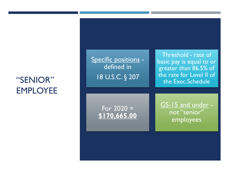## "SENIOR" EMPLOYEE

Specific positions defined in 18 U.S.C. § 207

Threshold - rate of basic pay is equal to or greater than 86.5% of the rate for Level II of the Exec.Schedule

For  $2020 =$ **\$170,665.00** <u>GS-15 and under</u> not "senior" employees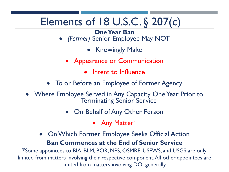## Elements of 18 U.S.C. § 207(c)

#### **One Year Ban**

- *(Former)* Senior Employee May NOT
	- **Knowingly Make**
	- Appearance or Communication
		- Intent to Influence

### • To or Before an Employee of Former Agency

- Where Employee Served in Any Capacity One Year Prior to Terminating Senior Service
	- On Behalf of Any Other Person
		- Any Matter\*
	- OnWhich Former Employee Seeks Official Action

#### **Ban Commences at the End of Senior Service**

\*Some appointees to BIA, BLM, BOR, NPS, OSMRE, USFWS, and USGS are only limited from matters involving their respective component.All other appointees are limited from matters involving DOI generally.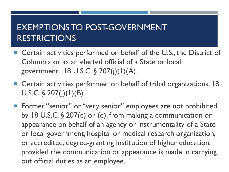## EXEMPTIONS TO POST-GOVERNMENT RESTRICTIONS

- Certain activities performed on behalf of the U.S., the District of Columbia or as an elected official of a State or local government. 18 U.S.C. § 207(j)(1)(A).
- Certain activities performed on behalf of tribal organizations. 18 U.S.C.  $\S$  207(j)(1)(B).
- **Former "senior" or "very senior" employees are not prohibited** by 18 U.S.C. § 207(c) or (d), from making a communication or appearance on behalf of an agency or instrumentality of a State or local government, hospital or medical research organization, or accredited, degree-granting institution of higher education, provided the communication or appearance is made in carrying out official duties as an employee.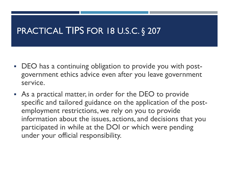## PRACTICAL TIPS FOR 18 U.S.C. § 207

- DEO has a continuing obligation to provide you with postgovernment ethics advice even after you leave government service.
- As a practical matter, in order for the DEO to provide specific and tailored guidance on the application of the postemployment restrictions, we rely on you to provide information about the issues, actions, and decisions that you participated in while at the DOI or which were pending under your official responsibility.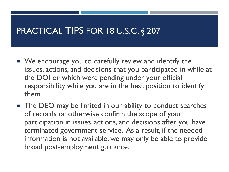## PRACTICAL TIPS FOR 18 U.S.C. § 207

- We encourage you to carefully review and identify the issues, actions, and decisions that you participated in while at the DOI or which were pending under your official responsibility while you are in the best position to identify them.
- **The DEO** may be limited in our ability to conduct searches of records or otherwise confirm the scope of your participation in issues, actions, and decisions after you have terminated government service. As a result, if the needed information is not available, we may only be able to provide broad post-employment guidance.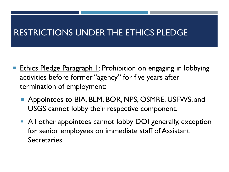## RESTRICTIONS UNDER THE ETHICS PLEDGE

- Ethics Pledge Paragraph 1: Prohibition on engaging in lobbying activities before former "agency" for five years after termination of employment:
	- **Appointees to BIA, BLM, BOR, NPS, OSMRE, USFWS, and** USGS cannot lobby their respective component.
	- All other appointees cannot lobby DOI generally, exception for senior employees on immediate staff of Assistant Secretaries.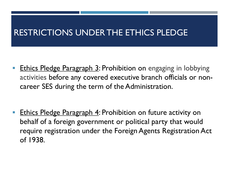## RESTRICTIONS UNDER THE ETHICS PLEDGE

**Ethics Pledge Paragraph 3: Prohibition on engaging in lobbying** activities before any covered executive branch officials or noncareer SES during the term of the Administration.

**Ethics Pledge Paragraph 4: Prohibition on future activity on** behalf of a foreign government or political party that would require registration under the Foreign Agents Registration Act of 1938.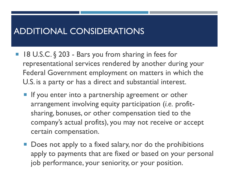- $\blacksquare$  18 U.S.C. § 203 Bars you from sharing in fees for representational services rendered by another during your Federal Government employment on matters in which the U.S. is a party or has a direct and substantial interest.
	- **If you enter into a partnership agreement or other** arrangement involving equity participation (*i.e.* profitsharing, bonuses, or other compensation tied to the company's actual profits), you may not receive or accept certain compensation.
	- Does not apply to a fixed salary, nor do the prohibitions apply to payments that are fixed or based on your personal job performance, your seniority, or your position.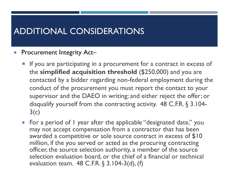#### Procurement Integrity Act–

- **If you are participating in a procurement for a contract in excess of** the **simplified acquisition threshold** (\$250,000) and you are contacted by a bidder regarding non-federal employment during the conduct of the procurement you must report the contact to your supervisor and the DAEO in writing; and either reject the offer; or disqualify yourself from the contracting activity. 48 C.F.R. § 3.104-  $3(c)$
- **For a period of I year after the applicable "designated date," you** may not accept compensation from a contractor that has been awarded a competitive or sole source contract in excess of \$10 million, if the you served or acted as the procuring contracting officer, the source selection authority, a member of the source selection evaluation board, or the chief of a financial or technical evaluation team. 48 C.F.R. § 3.104-3(d), (f)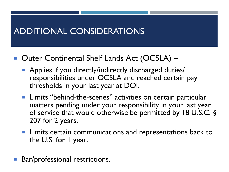- Outer Continental Shelf Lands Act (OCSLA)
	- **Applies if you directly/indirectly discharged duties/** responsibilities under OCSLA and reached certain pay thresholds in your last year at DOI.
	- **Limits "behind-the-scenes" activities on certain particular** matters pending under your responsibility in your last year of service that would otherwise be permitted by 18 U.S.C. § 207 for 2 years.
	- **Limits certain communications and representations back to** the U.S. for I year.
- Bar/professional restrictions.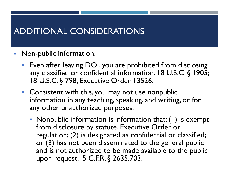- **Non-public information:** 
	- **Even after leaving DOI, you are prohibited from disclosing** any classified or confidential information. 18 U.S.C. § 1905; 18 U.S.C. § 798; Executive Order 13526.
	- **Consistent with this, you may not use nonpublic** information in any teaching, speaking, and writing, or for any other unauthorized purposes.
		- Nonpublic information is information that: (1) is exempt from disclosure by statute, Executive Order or regulation; (2) is designated as confidential or classified; or (3) has not been disseminated to the general public and is not authorized to be made available to the public upon request. 5 C.F.R. § 2635.703.